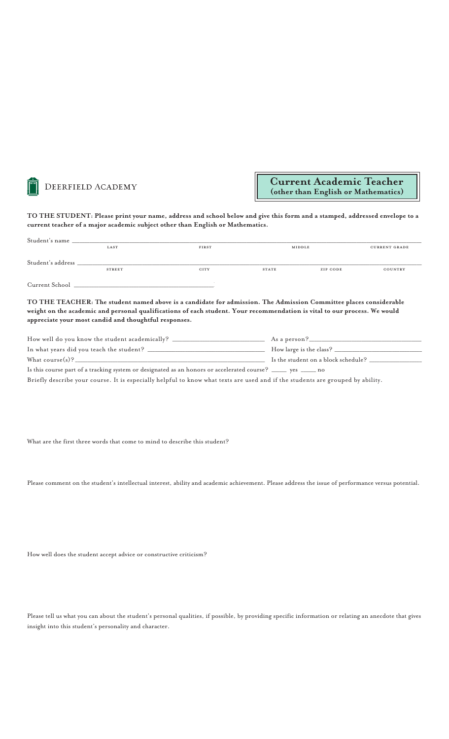

## **TO THE STUDENT: Please print your name, address and school below and give this form and a stamped, addressed envelope to a current teacher of a major academic subject other than English or Mathematics.**

| Student's name    |               |       |              |          |                      |
|-------------------|---------------|-------|--------------|----------|----------------------|
|                   | LAST          | FIRST |              | MIDDLE   | <b>CURRENT GRADE</b> |
|                   |               |       |              |          |                      |
| Student's address |               |       |              |          |                      |
|                   | <b>STREET</b> | CITY  | <b>STATE</b> | ZIP CODE | COUNTRY              |
|                   |               |       |              |          |                      |
| Current School    |               |       |              |          |                      |

**TO THE TEACHER: The student named above is a candidate for admission. The Admission Committee places considerable weight on the academic and personal qualifications of each student. Your recommendation is vital to our process. We would appreciate your most candid and thoughtful responses.** 

| How well do you know the student academically?                                                                   | As a person?                        |
|------------------------------------------------------------------------------------------------------------------|-------------------------------------|
| In what years did you teach the student?                                                                         | How large is the class? _______     |
| What course $(s)$ ?                                                                                              | Is the student on a block schedule? |
| Is this course part of a tracking system or designated as an honors or accelerated course? _______ yes ______ no |                                     |

Briefly describe your course. It is especially helpful to know what texts are used and if the students are grouped by ability.

What are the first three words that come to mind to describe this student?

Please comment on the student's intellectual interest, ability and academic achievement. Please address the issue of performance versus potential.

How well does the student accept advice or constructive criticism?

Please tell us what you can about the student's personal qualities, if possible, by providing specific information or relating an anecdote that gives insight into this student's personality and character.